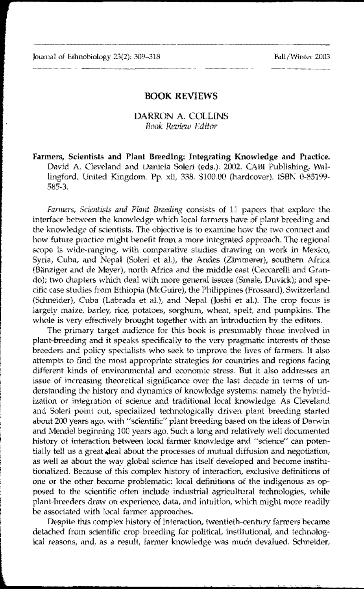## **BOOK** REVIEWS

## DARRON A. COLLINS *Book Review Editor*

Farmers, Scientists **and Plant** Breeding: Integrating Knowledge and Fractice. David A. Cleveland and Daniela Soleri (eds.). 2002. CABI Publishing, Wallingford, United Kingdom. Pp. xii, 338. \$100.00 (hardcover). ISBN 0-85199-585-3.

Farmers, Scientists and Plant Breeding consists of 11 papers that explore the interface between the knowledge which local farmers have of plant breeding and the knowledge of scientists. The objective is to examine how the two connect and how future practice might benefit from a more integrated approach. The regional scope is wide-ranging, with comparative studies drawing on work in Mexico, Syria, Cuba, and Nepal (Soleri et al.), the Andes (Zimmerer), southern Africa fBanziger and de Meyer), north Africa and the middle east (Ceccarelli and Grando); two chapters which deal with more general issues (Smale, Duvick); and specific case studies from Ethiopia (McGuire), the Philippines (Frossard), Switzerland (Schneider), Cuba (Labrada et at), and Nepal (Joshi et a1.). The crop focus is largely maize, barley, rice, potatoes, sorghum, wheat, spelt, and pumpkins. The whole is very effectively brought together with an introduction by the editors.

The primary target audience for this book is presumably those involved in plant-breeding and it speaks specifically to the very pragmatic interests of those breeders and policy specialists who seek to improve the lives of farmers. It also attempts to find the most appropriate strategies for countries and regions facing different kinds of environmental and economic stress. But it also addresses an issue of increasing theoretical significance over the last decade in terms of understanding the history and dynamics of knowledge systems: namely the hybridization or integration of science and traditional local knowledge. As Cleveland and Soleri point out, specialized technologically driven plant breeding started about 200 years ago, with "scientific" plant breeding based on the ideas of Darwin and Mendel beginning 100 years ago. Such a long and relatively well documented history of interaction between local farmer knowledge and "science" can potentially tell us a great deal about the processes of mutual diffusion and negotiation, as well as about the way global science has itself developed and become institutionalized, Because of this complex history of interaction, exclusive definitions of one or the other become problematic: local definitions of the indigenous as opposed to the scientific often include industrial agricultural technologies, while plant-breeders draw on experience, data, and intuition, which might more readily be associated with local farmer approaches.

Despite this complex history of interaction, twentieth-century farmers became detached from scientific crop breeding for political, institutional, and technological reasons, and, as a result, farmer knowledge was much devalued. Schneider,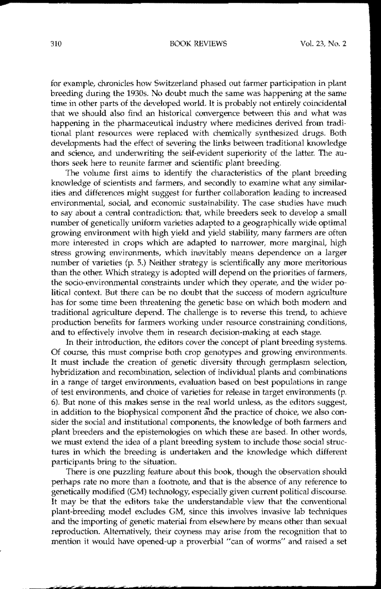## :310 BOOK REVIEWS Vol. 23, No.2

for example, chronicles how Switzerland phased out farmer participation in plant breeding during the 19305. No doubt much the same was happening at the same time in other parts of the developed world. It is probably not entirely coincidental that we should also find an historical convergence between this and what was happening in the pharmaceutical industry where medicines derived from traditional plant resources were replaced with chemically synthesized drugs. Both developments had the effect of severing the links between traditional knowledge and science, and underwriting the self-evident superiority of the latter. The authors seek here to reunite farmer and scientific plant breeding.

The volume first aims to identify the characteristics of the plant breeding knowledge of scientists and farmers, and secondly to examine what any similarities and differences might suggest for further collaboration leading to increased environmental, social, and economic sustainability. The case studies have much to say about a central contradiction; that, while breeders seek to develop a small number of genetically uniform varieties adapted to a geographically wide optimal growing environment with high yield and yield stability, many fanners are often more interested in crops which are adapted to narrower, more marginal, high stress growing environments, which inevitably means dependence on a larger number of varieties  $(p, 5)$ . Neither strategy is scientifically any more meritorious than the other. Which strategy is adopted will depend on the priorities of farmers, the socio-environmental constraints under which they operate, and the wider political context. But there can be no doubt that the success of modern agriculture has for some time been threatening the genetic base on which both modern and traditional depend. The challenge is to reverse this trend, to achieve production benefits for farmers working under resource constraining conditions, and to effectively involve them in research decision-making at each stage.

In their introduction, the editors cover the concept of plant breeding systems. Of course, this must comprise both crop genotypes and growing environments. It must include the creation of genetic diversity through germplasm selection, hybridization and recombination, selection of individual plants and combinations in a range of target environments, evaluation based on best populations in range of test environments, and choice of varieties for release in target environments (p. 6). But none of this makes sense in the real world unless, as the editors suggest, in addition to the biophysical component and the practice of choice, we also consider the social and institutional components, the knowledge of both farmers and plant breeders and the epistemologies on which these are based. In other words, we must extend the idea of a plant breeding system to include those social structures in which the breeding is undertaken and the knowledge which different participants bring to the situation.

There is one puzzling feature about this book, though the observation should perhaps rate no more than a footnote, and that is the absence of any reference to genetically modified (GM) technology, especially given current political discourse. It may be that the editors take the understandable view that the conventional plant-breeding model excludes GM, since this involves invasive lab techniques and the importing of genetic material from elsewhere by means other than sexual reproduction. Altematively, their coyness may arise from the recognition that to mention it would have opened-up a proverbial "can of worms" and raised a set